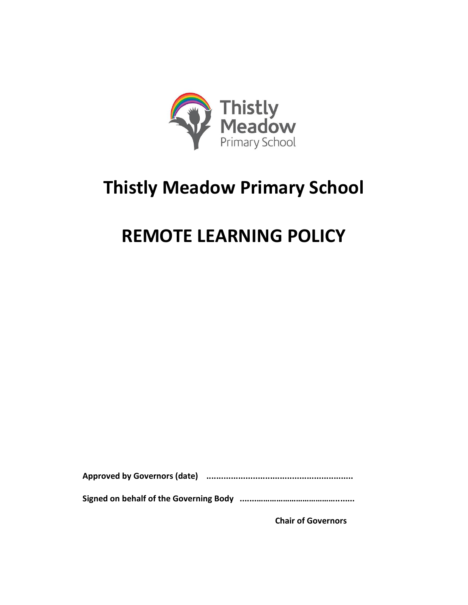

## **Thistly Meadow Primary School**

## **REMOTE LEARNING POLICY**

**Approved by Governors (date) ............................................................**

**Signed on behalf of the Governing Body .......………………………………........**

**Chair of Governors**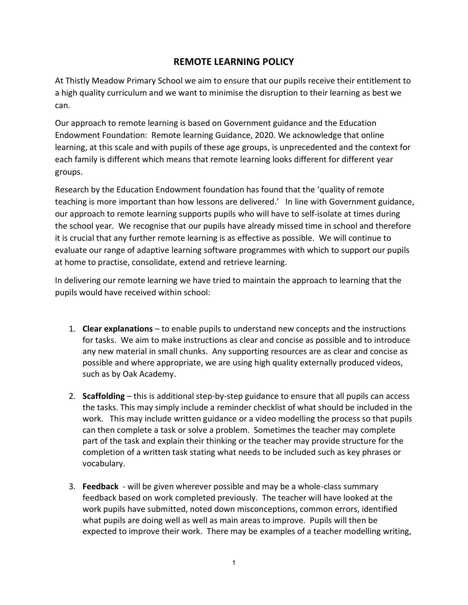## **REMOTE LEARNING POLICY**

At Thistly Meadow Primary School we aim to ensure that our pupils receive their entitlement to a high quality curriculum and we want to minimise the disruption to their learning as best we can.

Our approach to remote learning is based on Government guidance and the Education Endowment Foundation: Remote learning Guidance, 2020. We acknowledge that online learning, at this scale and with pupils of these age groups, is unprecedented and the context for each family is different which means that remote learning looks different for different year groups.

Research by the Education Endowment foundation has found that the 'quality of remote teaching is more important than how lessons are delivered.' In line with Government guidance, our approach to remote learning supports pupils who will have to self-isolate at times during the school year. We recognise that our pupils have already missed time in school and therefore it is crucial that any further remote learning is as effective as possible. We will continue to evaluate our range of adaptive learning software programmes with which to support our pupils at home to practise, consolidate, extend and retrieve learning.

In delivering our remote learning we have tried to maintain the approach to learning that the pupils would have received within school:

- 1. **Clear explanations** to enable pupils to understand new concepts and the instructions for tasks. We aim to make instructions as clear and concise as possible and to introduce any new material in small chunks. Any supporting resources are as clear and concise as possible and where appropriate, we are using high quality externally produced videos, such as by Oak Academy.
- 2. **Scaffolding** this is additional step-by-step guidance to ensure that all pupils can access the tasks. This may simply include a reminder checklist of what should be included in the work. This may include written guidance or a video modelling the process so that pupils can then complete a task or solve a problem. Sometimes the teacher may complete part of the task and explain their thinking or the teacher may provide structure for the completion of a written task stating what needs to be included such as key phrases or vocabulary.
- 3. **Feedback** will be given wherever possible and may be a whole-class summary feedback based on work completed previously. The teacher will have looked at the work pupils have submitted, noted down misconceptions, common errors, identified what pupils are doing well as well as main areas to improve. Pupils will then be expected to improve their work. There may be examples of a teacher modelling writing,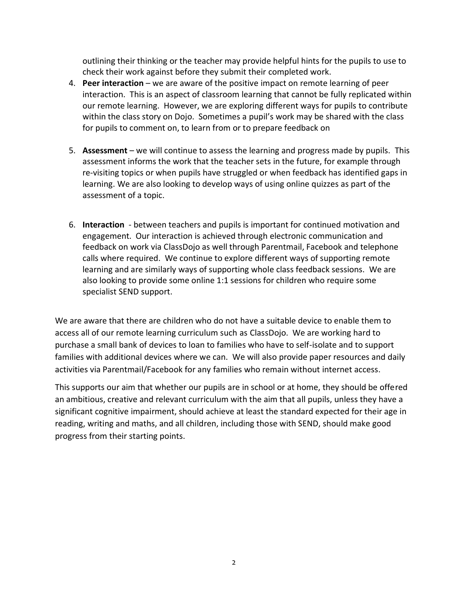outlining their thinking or the teacher may provide helpful hints for the pupils to use to check their work against before they submit their completed work.

- 4. **Peer interaction** we are aware of the positive impact on remote learning of peer interaction. This is an aspect of classroom learning that cannot be fully replicated within our remote learning. However, we are exploring different ways for pupils to contribute within the class story on Dojo. Sometimes a pupil's work may be shared with the class for pupils to comment on, to learn from or to prepare feedback on
- 5. **Assessment** we will continue to assess the learning and progress made by pupils. This assessment informs the work that the teacher sets in the future, for example through re-visiting topics or when pupils have struggled or when feedback has identified gaps in learning. We are also looking to develop ways of using online quizzes as part of the assessment of a topic.
- 6. **Interaction** between teachers and pupils is important for continued motivation and engagement. Our interaction is achieved through electronic communication and feedback on work via ClassDojo as well through Parentmail, Facebook and telephone calls where required. We continue to explore different ways of supporting remote learning and are similarly ways of supporting whole class feedback sessions. We are also looking to provide some online 1:1 sessions for children who require some specialist SEND support.

We are aware that there are children who do not have a suitable device to enable them to access all of our remote learning curriculum such as ClassDojo. We are working hard to purchase a small bank of devices to loan to families who have to self-isolate and to support families with additional devices where we can. We will also provide paper resources and daily activities via Parentmail/Facebook for any families who remain without internet access.

This supports our aim that whether our pupils are in school or at home, they should be offered an ambitious, creative and relevant curriculum with the aim that all pupils, unless they have a significant cognitive impairment, should achieve at least the standard expected for their age in reading, writing and maths, and all children, including those with SEND, should make good progress from their starting points.